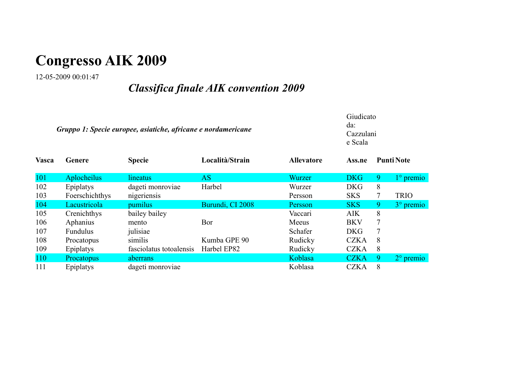# **Congresso AIK 2009**

12-05-2009 00:01:47

## *Classifica finale AIK convention 2009*

|              | Gruppo 1: Specie europee, asiatiche, africane e nordamericane |                         |                  |                   |             |   | Giudicato<br>da:<br>Cazzulani<br>e Scala |  |  |  |
|--------------|---------------------------------------------------------------|-------------------------|------------------|-------------------|-------------|---|------------------------------------------|--|--|--|
| <b>Vasca</b> | Genere                                                        | <b>Specie</b>           | Località/Strain  | <b>Allevatore</b> | Ass.ne      |   | <b>Punti Note</b>                        |  |  |  |
| 101          | Aplocheilus                                                   | lineatus                | AS               | Wurzer            | <b>DKG</b>  | 9 | $1^\circ$ premio                         |  |  |  |
| 102          | Epiplatys                                                     | dageti monroviae        | Harbel           | Wurzer            | <b>DKG</b>  | 8 |                                          |  |  |  |
| 103          | Foerschichthys                                                | nigeriensis             |                  | Persson           | <b>SKS</b>  | 7 | <b>TRIO</b>                              |  |  |  |
| 104          | Lacustricola                                                  | <i>pumilus</i>          | Burundi, CI 2008 | Persson           | <b>SKS</b>  | 9 | $3^\circ$ premio                         |  |  |  |
| 105          | Crenichthys                                                   | bailey bailey           |                  | Vaccari           | <b>AIK</b>  | 8 |                                          |  |  |  |
| 106          | Aphanius                                                      | mento                   | Bor              | Meeus             | <b>BKV</b>  | 7 |                                          |  |  |  |
| 107          | Fundulus                                                      | julisiae                |                  | Schafer           | <b>DKG</b>  |   |                                          |  |  |  |
| 108          | Procatopus                                                    | similis                 | Kumba GPE 90     | Rudicky           | <b>CZKA</b> | 8 |                                          |  |  |  |
| 109          | Epiplatys                                                     | fasciolatus totoalensis | Harbel EP82      | Rudicky           | <b>CZKA</b> | 8 |                                          |  |  |  |
| 110          | Procatopus                                                    | aberrans                |                  | Koblasa           | <b>CZKA</b> | 9 | $2^{\circ}$ premio                       |  |  |  |
| 111          | Epiplatys                                                     | dageti monroviae        |                  | Koblasa           | <b>CZKA</b> | 8 |                                          |  |  |  |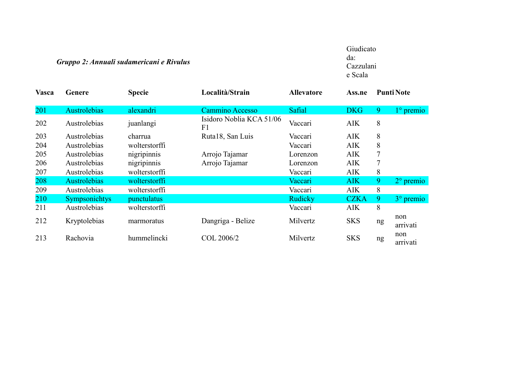#### *Gruppo 2: Annuali sudamericani e Rivulus*

Giudicato da: Cazzulani e Scala

| <b>Vasca</b> | Genere               | <b>Specie</b> | Località/Strain                | <b>Allevatore</b> | Ass.ne      |    | <b>Punti Note</b>  |
|--------------|----------------------|---------------|--------------------------------|-------------------|-------------|----|--------------------|
| 201          | Austrolebias         | alexandri     | <b>Cammino Accesso</b>         | Safial            | <b>DKG</b>  | 9  | $1^\circ$ premio   |
| 202          | Austrolebias         | juanlangi     | Isidoro Noblia KCA 51/06<br>F1 | Vaccari           | <b>AIK</b>  | 8  |                    |
| 203          | Austrolebias         | charrua       | Ruta18, San Luis               | Vaccari           | <b>AIK</b>  | 8  |                    |
| 204          | Austrolebias         | wolterstorffi |                                | Vaccari           | <b>AIK</b>  | 8  |                    |
| 205          | Austrolebias         | nigripinnis   | Arrojo Tajamar                 | Lorenzon          | <b>AIK</b>  |    |                    |
| 206          | Austrolebias         | nigripinnis   | Arrojo Tajamar                 | Lorenzon          | <b>AIK</b>  |    |                    |
| 207          | Austrolebias         | wolterstorffi |                                | Vaccari           | <b>AIK</b>  | 8  |                    |
| 208          | Austrolebias         | wolterstorffi |                                | Vaccari           | <b>AIK</b>  | 9  | $2^{\circ}$ premio |
| 209          | Austrolebias         | wolterstorffi |                                | Vaccari           | <b>AIK</b>  | 8  |                    |
| 210          | <b>Sympsonichtys</b> | punctulatus   |                                | Rudicky           | <b>CZKA</b> | 9  | $3^\circ$ premio   |
| 211          | Austrolebias         | wolterstorffi |                                | Vaccari           | <b>AIK</b>  | 8  |                    |
| 212          | Kryptolebias         | marmoratus    | Dangriga - Belize              | Milvertz          | <b>SKS</b>  | ng | non<br>arrivati    |
| 213          | Rachovia             | hummelincki   | COL 2006/2                     | Milvertz          | <b>SKS</b>  | ng | non<br>arrivati    |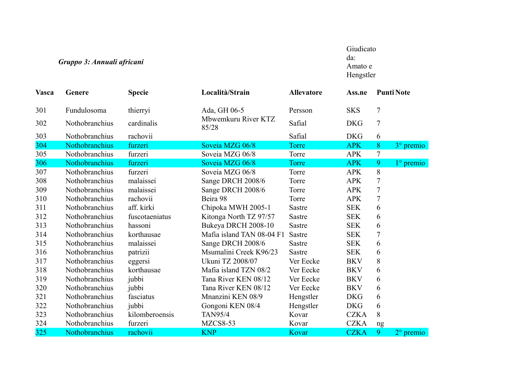### *Gruppo 3: Annuali africani*

Giudicato da: Amato e Hengstler

| <b>Vasca</b> | Genere         | <b>Specie</b>  | Località/Strain              | <b>Allevatore</b> | Ass.ne      |                          | <b>Punti Note</b>  |  |
|--------------|----------------|----------------|------------------------------|-------------------|-------------|--------------------------|--------------------|--|
| 301          | Fundulosoma    | thierryi       | Ada, GH 06-5                 | Persson           | <b>SKS</b>  | $\overline{7}$           |                    |  |
| 302          | Nothobranchius | cardinalis     | Mbwemkuru River KTZ<br>85/28 | Safial            | <b>DKG</b>  | $\overline{7}$           |                    |  |
| 303          | Nothobranchius | rachovii       |                              | Safial            | <b>DKG</b>  | 6                        |                    |  |
| 304          | Nothobranchius | furzeri        | Soveia MZG 06/8              | Torre             | <b>APK</b>  | 8                        | 3° premio          |  |
| 305          | Nothobranchius | furzeri        | Soveia MZG 06/8              | Torre             | <b>APK</b>  | 7                        |                    |  |
| 306          | Nothobranchius | furzeri        | Soveia MZG 06/8              | <b>Torre</b>      | <b>APK</b>  | 9                        | 1° premio          |  |
| 307          | Nothobranchius | furzeri        | Soveia MZG 06/8              | Torre             | <b>APK</b>  | 8                        |                    |  |
| 308          | Nothobranchius | malaissei      | Sange DRCH 2008/6            | Torre             | <b>APK</b>  | 7                        |                    |  |
| 309          | Nothobranchius | malaissei      | Sange DRCH 2008/6            | Torre             | <b>APK</b>  | $\tau$                   |                    |  |
| 310          | Nothobranchius | rachovii       | Beira 98                     | Torre             | <b>APK</b>  | $\overline{\mathcal{L}}$ |                    |  |
| 311          | Nothobranchius | aff. kirki     | Chipoka MWH 2005-1           | <b>Sastre</b>     | <b>SEK</b>  | 6                        |                    |  |
| 312          | Nothobranchius | fuscotaeniatus | Kitonga North TZ 97/57       | <b>Sastre</b>     | <b>SEK</b>  | 6                        |                    |  |
| 313          | Nothobranchius | hassoni        | Bukeya DRCH 2008-10          | Sastre            | <b>SEK</b>  | 6                        |                    |  |
| 314          | Nothobranchius | korthausae     | Mafia island TAN 08-04 F1    | Sastre            | <b>SEK</b>  | 7                        |                    |  |
| 315          | Nothobranchius | malaissei      | Sange DRCH 2008/6            | Sastre            | <b>SEK</b>  | 6                        |                    |  |
| 316          | Nothobranchius | patrizii       | Msumalini Creek K96/23       | <b>Sastre</b>     | <b>SEK</b>  | 6                        |                    |  |
| 317          | Nothobranchius | eggersi        | Ukuni TZ 2008/07             | Ver Eecke         | <b>BKV</b>  | 8                        |                    |  |
| 318          | Nothobranchius | korthausae     | Mafia island TZN 08/2        | Ver Eecke         | <b>BKV</b>  | 6                        |                    |  |
| 319          | Nothobranchius | jubbi          | Tana River KEN 08/12         | Ver Eecke         | <b>BKV</b>  | 6                        |                    |  |
| 320          | Nothobranchius | jubbi          | Tana River KEN 08/12         | Ver Eecke         | <b>BKV</b>  | 6                        |                    |  |
| 321          | Nothobranchius | fasciatus      | Mnanzini KEN 08/9            | Hengstler         | <b>DKG</b>  | 6                        |                    |  |
| 322          | Nothobranchius | jubbi          | Gongoni KEN 08/4             | Hengstler         | <b>DKG</b>  | 6                        |                    |  |
| 323          | Nothobranchius | kilomberoensis | <b>TAN95/4</b>               | Kovar             | <b>CZKA</b> | 8                        |                    |  |
| 324          | Nothobranchius | furzeri        | MZCS8-53                     | Kovar             | <b>CZKA</b> | ng                       |                    |  |
| 325          | Nothobranchius | rachovii       | <b>KNP</b>                   | Kovar             | <b>CZKA</b> | 9                        | $2^{\circ}$ premio |  |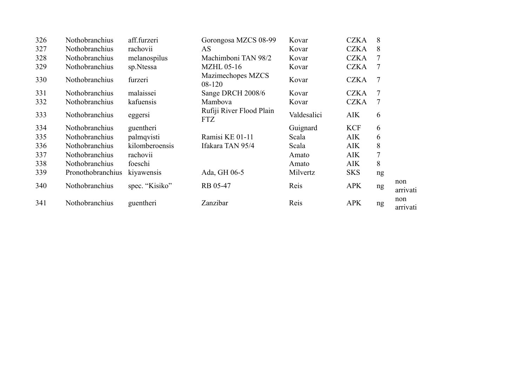| 326 | Nothobranchius    | aff.furzeri    | Gorongosa MZCS 08-99                   | Kovar       | <b>CZKA</b> | 8              |                 |
|-----|-------------------|----------------|----------------------------------------|-------------|-------------|----------------|-----------------|
| 327 | Nothobranchius    | rachovii       | AS                                     | Kovar       | <b>CZKA</b> | 8              |                 |
| 328 | Nothobranchius    | melanospilus   | Machimboni TAN 98/2                    | Kovar       | <b>CZKA</b> |                |                 |
| 329 | Nothobranchius    | sp.Ntessa      | <b>MZHL 05-16</b>                      | Kovar       | <b>CZKA</b> | 7              |                 |
| 330 | Nothobranchius    | furzeri        | Mazimechopes MZCS<br>08-120            | Kovar       | <b>CZKA</b> | $\overline{7}$ |                 |
| 331 | Nothobranchius    | malaissei      | Sange DRCH 2008/6                      | Kovar       | <b>CZKA</b> | 7              |                 |
| 332 | Nothobranchius    | kafuensis      | Mambova                                | Kovar       | <b>CZKA</b> | 7              |                 |
| 333 | Nothobranchius    | eggersi        | Rufiji River Flood Plain<br><b>FTZ</b> | Valdesalici | <b>AIK</b>  | 6              |                 |
| 334 | Nothobranchius    | guentheri      |                                        | Guignard    | <b>KCF</b>  | 6              |                 |
| 335 | Nothobranchius    | palmqvisti     | Ramisi KE 01-11                        | Scala       | <b>AIK</b>  | 6              |                 |
| 336 | Nothobranchius    | kilomberoensis | Ifakara TAN 95/4                       | Scala       | <b>AIK</b>  | 8              |                 |
| 337 | Nothobranchius    | rachovii       |                                        | Amato       | <b>AIK</b>  | 7              |                 |
| 338 | Nothobranchius    | foeschi        |                                        | Amato       | <b>AIK</b>  | 8              |                 |
| 339 | Pronothobranchius | kiyawensis     | Ada, GH 06-5                           | Milvertz    | <b>SKS</b>  | ng             |                 |
| 340 | Nothobranchius    | spec. "Kisiko" | RB 05-47                               | Reis        | <b>APK</b>  | ng             | non<br>arrivati |
| 341 | Nothobranchius    | guentheri      | Zanzibar                               | Reis        | <b>APK</b>  | ng             | non<br>arrivati |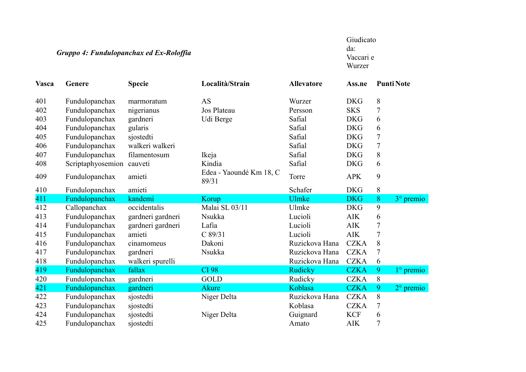### *Gruppo 4: Fundulopanchax ed Ex-Roloffia*

Giudicato da: Vaccari e Wurzer

| <b>Vasca</b> | Genere            | <b>Specie</b>     | Località/Strain                  | <b>Allevatore</b> | Ass.ne      |       | <b>Punti Note</b>  |
|--------------|-------------------|-------------------|----------------------------------|-------------------|-------------|-------|--------------------|
| 401          | Fundulopanchax    | marmoratum        | <b>AS</b>                        | Wurzer            | <b>DKG</b>  | 8     |                    |
| 402          | Fundulopanchax    | nigerianus        | Jos Plateau                      | Persson           | <b>SKS</b>  | 7     |                    |
| 403          | Fundulopanchax    | gardneri          | Udi Berge                        | Safial            | <b>DKG</b>  | 6     |                    |
| 404          | Fundulopanchax    | gularis           |                                  | Safial            | <b>DKG</b>  | 6     |                    |
| 405          | Fundulopanchax    | sjostedti         |                                  | Safial            | <b>DKG</b>  | 7     |                    |
| 406          | Fundulopanchax    | walkeri walkeri   |                                  | Safial            | <b>DKG</b>  | 7     |                    |
| 407          | Fundulopanchax    | filamentosum      | Ikeja                            | Safial            | <b>DKG</b>  | 8     |                    |
| 408          | Scriptaphyosemion | cauveti           | Kindia                           | Safial            | <b>DKG</b>  | 6     |                    |
| 409          | Fundulopanchax    | amieti            | Edea - Yaoundé Km 18, C<br>89/31 | Torre             | <b>APK</b>  | 9     |                    |
| 410          | Fundulopanchax    | amieti            |                                  | Schafer           | <b>DKG</b>  | $8\,$ |                    |
| 411          | Fundulopanchax    | kandemi           | Korup                            | <b>Ulmke</b>      | <b>DKG</b>  | 8     | $3°$ premio        |
| 412          | Callopanchax      | occidentalis      | Malai SL 03/11                   | Ulmke             | <b>DKG</b>  | 9     |                    |
| 413          | Fundulopanchax    | gardneri gardneri | Nsukka                           | Lucioli           | <b>AIK</b>  | 6     |                    |
| 414          | Fundulopanchax    | gardneri gardneri | Lafia                            | Lucioli           | <b>AIK</b>  | 7     |                    |
| 415          | Fundulopanchax    | amieti            | C 89/31                          | Lucioli           | <b>AIK</b>  | 7     |                    |
| 416          | Fundulopanchax    | cinamomeus        | Dakoni                           | Ruzickova Hana    | <b>CZKA</b> | 8     |                    |
| 417          | Fundulopanchax    | gardneri          | Nsukka                           | Ruzickova Hana    | <b>CZKA</b> | 7     |                    |
| 418          | Fundulopanchax    | walkeri spurelli  |                                  | Ruzickova Hana    | <b>CZKA</b> | 6     |                    |
| 419          | Fundulopanchax    | fallax            | <b>CI 98</b>                     | Rudicky           | <b>CZKA</b> | 9     | $1^\circ$ premio   |
| 420          | Fundulopanchax    | gardneri          | GOLD                             | Rudicky           | <b>CZKA</b> | 8     |                    |
| 421          | Fundulopanchax    | gardneri          | <b>Akure</b>                     | Koblasa           | <b>CZKA</b> | 9     | $2^{\circ}$ premio |
| 422          | Fundulopanchax    | sjostedti         | Niger Delta                      | Ruzickova Hana    | <b>CZKA</b> | 8     |                    |
| 423          | Fundulopanchax    | sjostedti         |                                  | Koblasa           | <b>CZKA</b> | 7     |                    |
| 424          | Fundulopanchax    | sjostedti         | Niger Delta                      | Guignard          | <b>KCF</b>  | 6     |                    |
| 425          | Fundulopanchax    | sjostedti         |                                  | Amato             | <b>AIK</b>  | 7     |                    |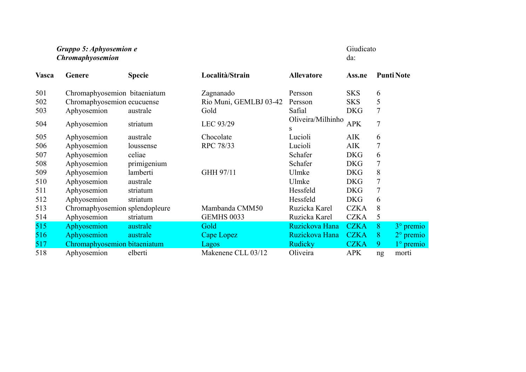#### *Gruppo 5: Aphyosemion e Chromaphyosemion*

Giudicato da:

| <b>Vasca</b> | Genere                         | <b>Specie</b> | Località/Strain        | <b>Allevatore</b>      | Ass.ne      |    | <b>Punti Note</b>  |
|--------------|--------------------------------|---------------|------------------------|------------------------|-------------|----|--------------------|
| 501          | Chromaphyosemion bitaeniatum   |               | Zagnanado              | Persson                | <b>SKS</b>  | 6  |                    |
| 502          | Chromaphyosemion ecucuense     |               | Rio Muni, GEMLBJ 03-42 | Persson                | <b>SKS</b>  | 5  |                    |
| 503          | Aphyosemion                    | australe      | Gold                   | Safial                 | <b>DKG</b>  | 7  |                    |
| 504          | Aphyosemion                    | striatum      | LEC 93/29              | Oliveira/Milhinho<br>S | <b>APK</b>  | 7  |                    |
| 505          | Aphyosemion                    | australe      | Chocolate              | Lucioli                | <b>AIK</b>  | 6  |                    |
| 506          | Aphyosemion                    | loussense     | RPC 78/33              | Lucioli                | <b>AIK</b>  | 7  |                    |
| 507          | Aphyosemion                    | celiae        |                        | Schafer                | <b>DKG</b>  | 6  |                    |
| 508          | Aphyosemion                    | primigenium   |                        | Schafer                | <b>DKG</b>  | 7  |                    |
| 509          | Aphyosemion                    | lamberti      | GHH 97/11              | Ulmke                  | <b>DKG</b>  | 8  |                    |
| 510          | Aphyosemion                    | australe      |                        | Ulmke                  | <b>DKG</b>  | 7  |                    |
| 511          | Aphyosemion                    | striatum      |                        | Hessfeld               | <b>DKG</b>  | 7  |                    |
| 512          | Aphyosemion                    | striatum      |                        | Hessfeld               | <b>DKG</b>  | 6  |                    |
| 513          | Chromaphyosemion splendopleure |               | Mambanda CMM50         | Ruzicka Karel          | <b>CZKA</b> | 8  |                    |
| 514          | Aphyosemion                    | striatum      | <b>GEMHS 0033</b>      | Ruzicka Karel          | <b>CZKA</b> | 5  |                    |
| 515          | Aphyosemion                    | australe      | Gold                   | Ruzickova Hana         | <b>CZKA</b> | 8  | 3° premio          |
| 516          | Aphyosemion                    | australe      | Cape Lopez             | Ruzickova Hana         | <b>CZKA</b> | 8  | $2^{\circ}$ premio |
| 517          | Chromaphyosemion bitaeniatum   |               | Lagos                  | <b>Rudicky</b>         | <b>CZKA</b> | 9  | $1^\circ$ premio   |
| 518          | Aphyosemion                    | elberti       | Makenene CLL 03/12     | Oliveira               | <b>APK</b>  | ng | morti              |